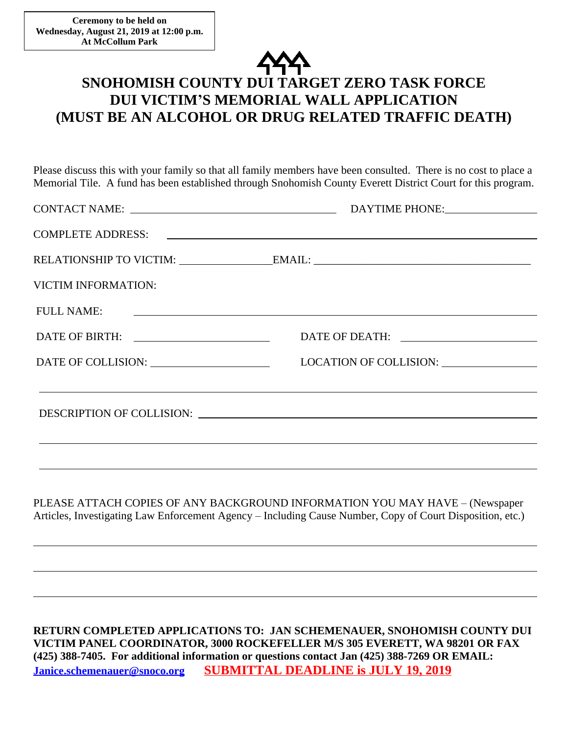$\overline{a}$ 

 $\overline{a}$ 

 $\overline{a}$ 



## **SNOHOMISH COUNTY DUI TARGET ZERO TASK FORCE DUI VICTIM'S MEMORIAL WALL APPLICATION (MUST BE AN ALCOHOL OR DRUG RELATED TRAFFIC DEATH)**

Please discuss this with your family so that all family members have been consulted. There is no cost to place a Memorial Tile. A fund has been established through Snohomish County Everett District Court for this program.

| <b>VICTIM INFORMATION:</b> |                                                                                  |  |
|----------------------------|----------------------------------------------------------------------------------|--|
|                            | FULL NAME:                                                                       |  |
|                            |                                                                                  |  |
|                            |                                                                                  |  |
|                            | ,我们也不会有什么。""我们的人,我们也不会有什么?""我们的人,我们也不会有什么?""我们的人,我们也不会有什么?""我们的人,我们也不会有什么?""我们的人 |  |
|                            |                                                                                  |  |

PLEASE ATTACH COPIES OF ANY BACKGROUND INFORMATION YOU MAY HAVE – (Newspaper Articles, Investigating Law Enforcement Agency – Including Cause Number, Copy of Court Disposition, etc.)

**RETURN COMPLETED APPLICATIONS TO: JAN SCHEMENAUER, SNOHOMISH COUNTY DUI VICTIM PANEL COORDINATOR, 3000 ROCKEFELLER M/S 305 EVERETT, WA 98201 OR FAX (425) 388-7405. For additional information or questions contact Jan (425) 388-7269 OR EMAIL: [Janice.schemenauer@snoco.org](mailto:Janice.schemenauer@snoco.org) SUBMITTAL DEADLINE is JULY 19, 2019**